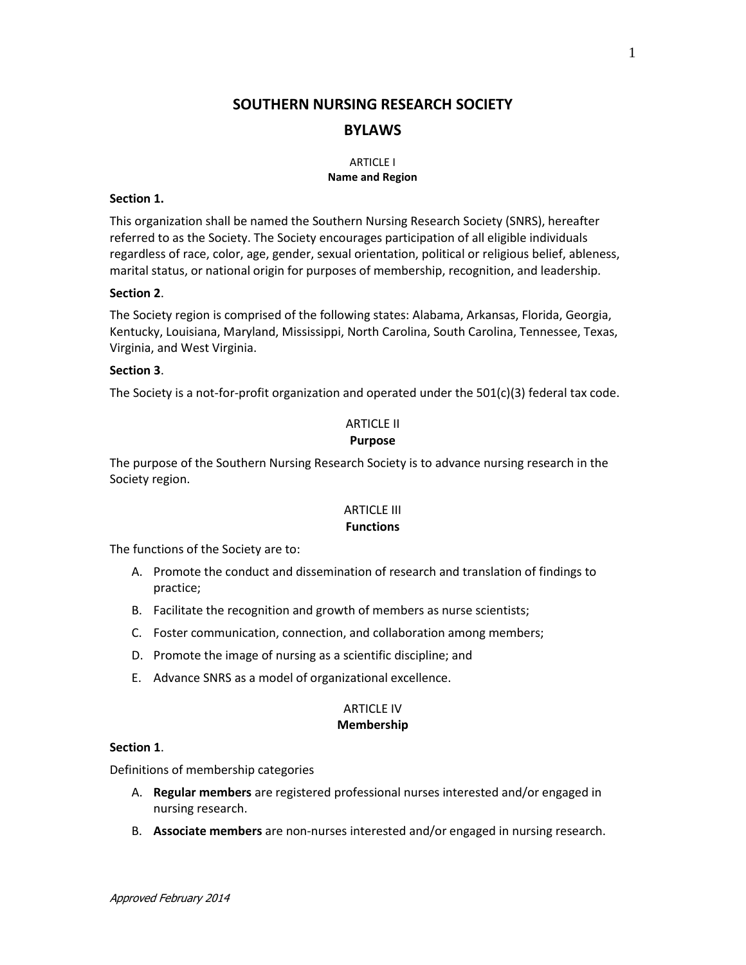# **SOUTHERN NURSING RESEARCH SOCIETY BYLAWS**

#### ARTICLE I **Name and Region**

#### **Section 1.**

This organization shall be named the Southern Nursing Research Society (SNRS), hereafter referred to as the Society. The Society encourages participation of all eligible individuals regardless of race, color, age, gender, sexual orientation, political or religious belief, ableness, marital status, or national origin for purposes of membership, recognition, and leadership.

#### **Section 2**.

The Society region is comprised of the following states: Alabama, Arkansas, Florida, Georgia, Kentucky, Louisiana, Maryland, Mississippi, North Carolina, South Carolina, Tennessee, Texas, Virginia, and West Virginia.

#### **Section 3**.

The Society is a not-for-profit organization and operated under the  $501(c)(3)$  federal tax code.

## ARTICLE II

## **Purpose**

The purpose of the Southern Nursing Research Society is to advance nursing research in the Society region.

#### ARTICLE III **Functions**

The functions of the Society are to:

- A. Promote the conduct and dissemination of research and translation of findings to practice;
- B. Facilitate the recognition and growth of members as nurse scientists;
- C. Foster communication, connection, and collaboration among members;
- D. Promote the image of nursing as a scientific discipline; and
- E. Advance SNRS as a model of organizational excellence.

#### ARTICLE IV **Membership**

#### **Section 1**.

Definitions of membership categories

- A. **Regular members** are registered professional nurses interested and/or engaged in nursing research.
- B. **Associate members** are non-nurses interested and/or engaged in nursing research.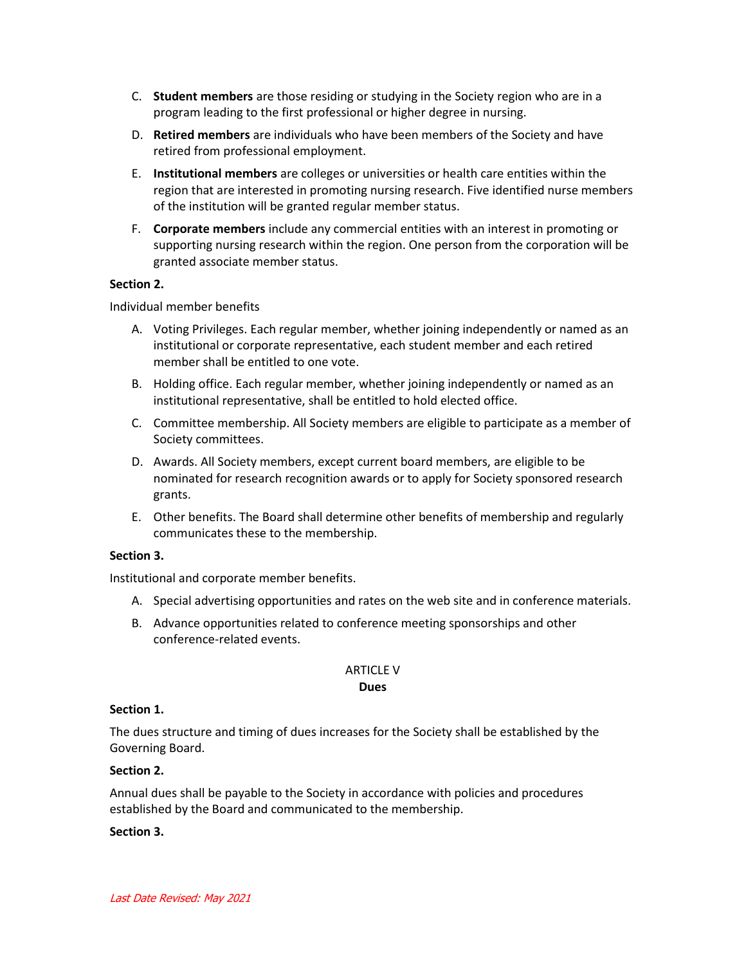- C. **Student members** are those residing or studying in the Society region who are in a program leading to the first professional or higher degree in nursing.
- D. **Retired members** are individuals who have been members of the Society and have retired from professional employment.
- E. **Institutional members** are colleges or universities or health care entities within the region that are interested in promoting nursing research. Five identified nurse members of the institution will be granted regular member status.
- F. **Corporate members** include any commercial entities with an interest in promoting or supporting nursing research within the region. One person from the corporation will be granted associate member status.

## **Section 2.**

Individual member benefits

- A. Voting Privileges. Each regular member, whether joining independently or named as an institutional or corporate representative, each student member and each retired member shall be entitled to one vote.
- B. Holding office. Each regular member, whether joining independently or named as an institutional representative, shall be entitled to hold elected office.
- C. Committee membership. All Society members are eligible to participate as a member of Society committees.
- D. Awards. All Society members, except current board members, are eligible to be nominated for research recognition awards or to apply for Society sponsored research grants.
- E. Other benefits. The Board shall determine other benefits of membership and regularly communicates these to the membership.

## **Section 3.**

Institutional and corporate member benefits.

- A. Special advertising opportunities and rates on the web site and in conference materials.
- B. Advance opportunities related to conference meeting sponsorships and other conference-related events.

## ARTICLE V

#### **Dues**

#### **Section 1.**

The dues structure and timing of dues increases for the Society shall be established by the Governing Board.

## **Section 2.**

Annual dues shall be payable to the Society in accordance with policies and procedures established by the Board and communicated to the membership.

#### **Section 3.**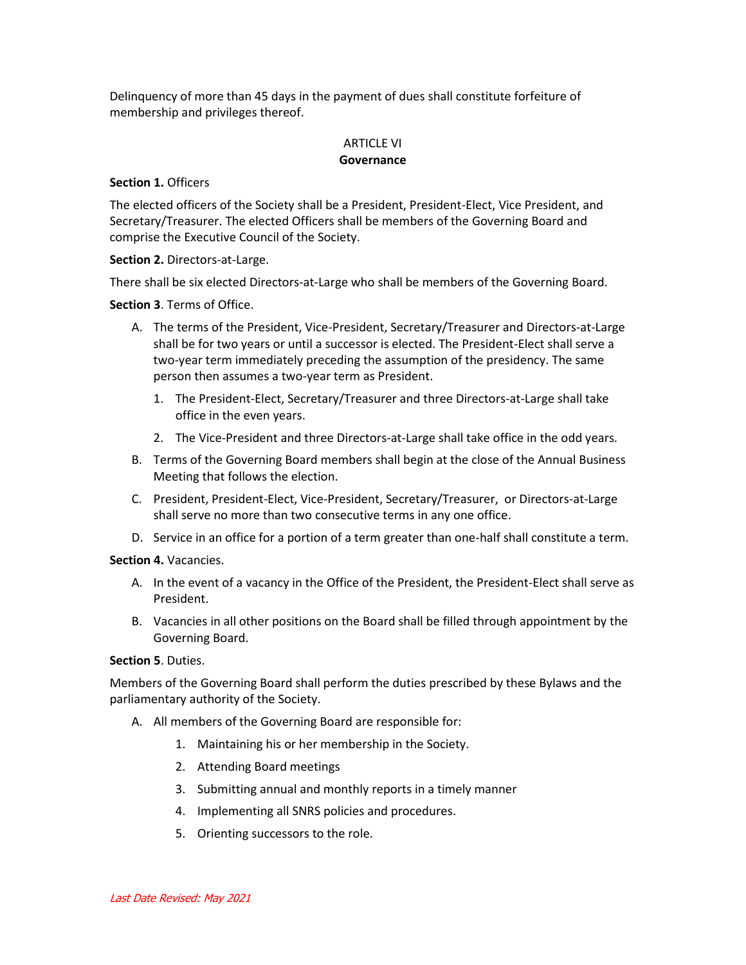Delinquency of more than 45 days in the payment of dues shall constitute forfeiture of membership and privileges thereof.

## ARTICLE VI **Governance**

#### **Section 1.** Officers

The elected officers of the Society shall be a President, President-Elect, Vice President, and Secretary/Treasurer. The elected Officers shall be members of the Governing Board and comprise the Executive Council of the Society.

**Section 2.** Directors-at-Large.

There shall be six elected Directors-at-Large who shall be members of the Governing Board.

**Section 3**. Terms of Office.

- A. The terms of the President, Vice-President, Secretary/Treasurer and Directors-at-Large shall be for two years or until a successor is elected. The President-Elect shall serve a two-year term immediately preceding the assumption of the presidency. The same person then assumes a two-year term as President.
	- 1. The President-Elect, Secretary/Treasurer and three Directors-at-Large shall take office in the even years.
	- 2. The Vice-President and three Directors-at-Large shall take office in the odd years.
- B. Terms of the Governing Board members shall begin at the close of the Annual Business Meeting that follows the election.
- C. President, President-Elect, Vice-President, Secretary/Treasurer, or Directors-at-Large shall serve no more than two consecutive terms in any one office.
- D. Service in an office for a portion of a term greater than one-half shall constitute a term.

**Section 4.** Vacancies.

- A. In the event of a vacancy in the Office of the President, the President-Elect shall serve as President.
- B. Vacancies in all other positions on the Board shall be filled through appointment by the Governing Board.

## **Section 5**. Duties.

Members of the Governing Board shall perform the duties prescribed by these Bylaws and the parliamentary authority of the Society.

- A. All members of the Governing Board are responsible for:
	- 1. Maintaining his or her membership in the Society.
	- 2. Attending Board meetings
	- 3. Submitting annual and monthly reports in a timely manner
	- 4. Implementing all SNRS policies and procedures.
	- 5. Orienting successors to the role.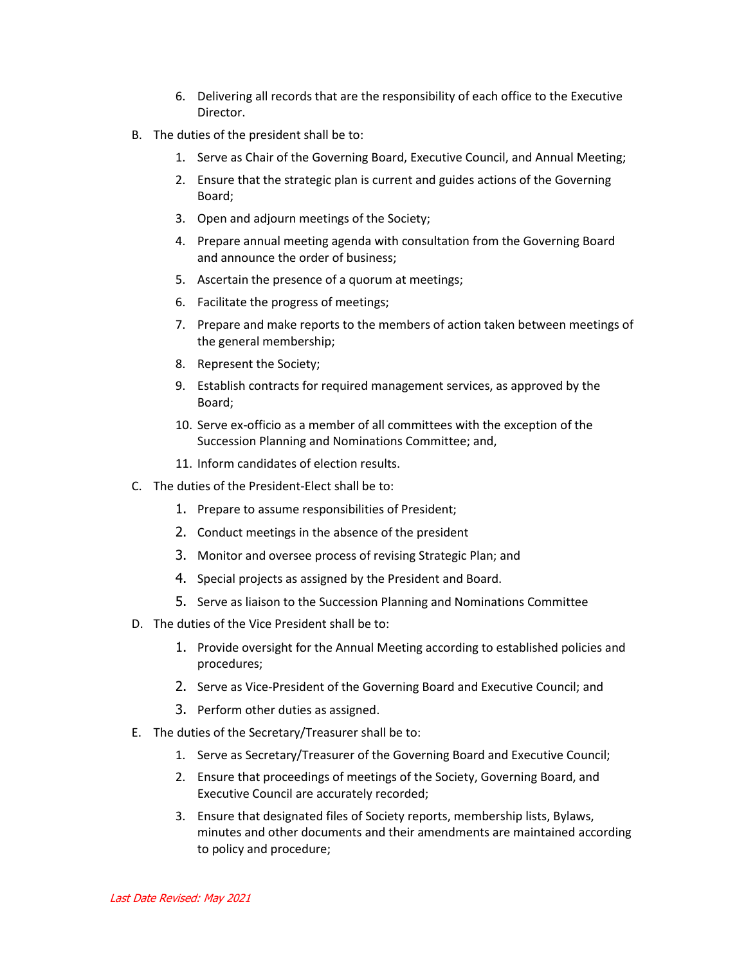- 6. Delivering all records that are the responsibility of each office to the Executive Director.
- B. The duties of the president shall be to:
	- 1. Serve as Chair of the Governing Board, Executive Council, and Annual Meeting;
	- 2. Ensure that the strategic plan is current and guides actions of the Governing Board;
	- 3. Open and adjourn meetings of the Society;
	- 4. Prepare annual meeting agenda with consultation from the Governing Board and announce the order of business;
	- 5. Ascertain the presence of a quorum at meetings;
	- 6. Facilitate the progress of meetings;
	- 7. Prepare and make reports to the members of action taken between meetings of the general membership;
	- 8. Represent the Society;
	- 9. Establish contracts for required management services, as approved by the Board;
	- 10. Serve ex-officio as a member of all committees with the exception of the Succession Planning and Nominations Committee; and,
	- 11. Inform candidates of election results.
- C. The duties of the President-Elect shall be to:
	- 1. Prepare to assume responsibilities of President;
	- 2. Conduct meetings in the absence of the president
	- 3. Monitor and oversee process of revising Strategic Plan; and
	- 4. Special projects as assigned by the President and Board.
	- 5. Serve as liaison to the Succession Planning and Nominations Committee
- D. The duties of the Vice President shall be to:
	- 1. Provide oversight for the Annual Meeting according to established policies and procedures;
	- 2. Serve as Vice-President of the Governing Board and Executive Council; and
	- 3. Perform other duties as assigned.
- E. The duties of the Secretary/Treasurer shall be to:
	- 1. Serve as Secretary/Treasurer of the Governing Board and Executive Council;
	- 2. Ensure that proceedings of meetings of the Society, Governing Board, and Executive Council are accurately recorded;
	- 3. Ensure that designated files of Society reports, membership lists, Bylaws, minutes and other documents and their amendments are maintained according to policy and procedure;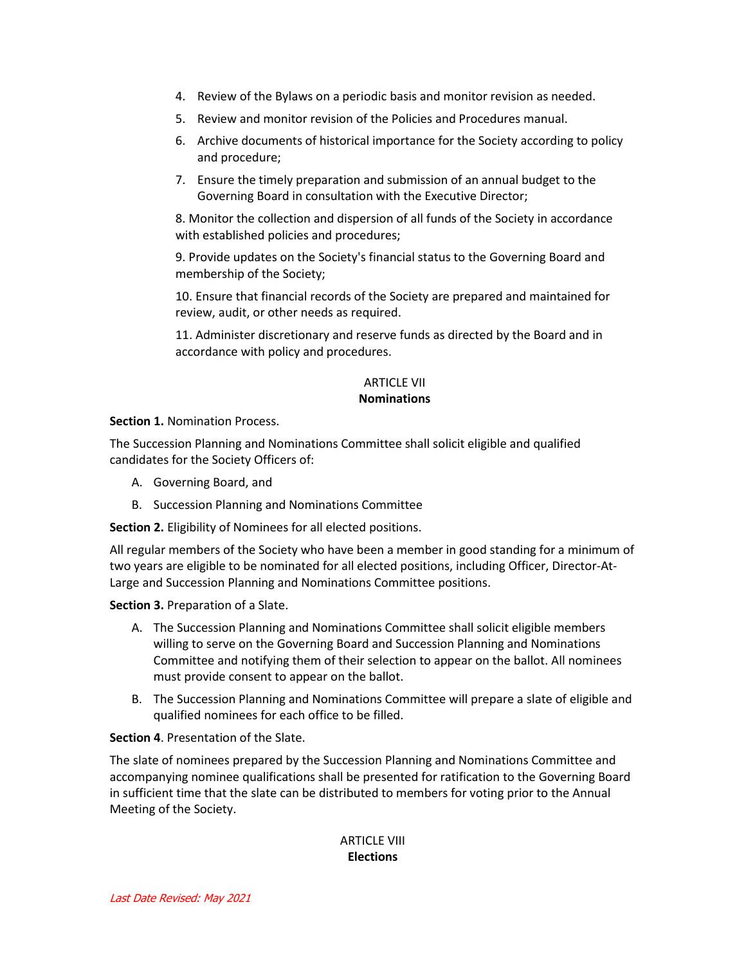- 4. Review of the Bylaws on a periodic basis and monitor revision as needed.
- 5. Review and monitor revision of the Policies and Procedures manual.
- 6. Archive documents of historical importance for the Society according to policy and procedure;
- 7. Ensure the timely preparation and submission of an annual budget to the Governing Board in consultation with the Executive Director;

8. Monitor the collection and dispersion of all funds of the Society in accordance with established policies and procedures;

9. Provide updates on the Society's financial status to the Governing Board and membership of the Society;

10. Ensure that financial records of the Society are prepared and maintained for review, audit, or other needs as required.

11. Administer discretionary and reserve funds as directed by the Board and in accordance with policy and procedures.

## ARTICLE VII **Nominations**

**Section 1.** Nomination Process.

The Succession Planning and Nominations Committee shall solicit eligible and qualified candidates for the Society Officers of:

- A. Governing Board, and
- B. Succession Planning and Nominations Committee

**Section 2.** Eligibility of Nominees for all elected positions.

All regular members of the Society who have been a member in good standing for a minimum of two years are eligible to be nominated for all elected positions, including Officer, Director-At-Large and Succession Planning and Nominations Committee positions.

**Section 3.** Preparation of a Slate.

- A. The Succession Planning and Nominations Committee shall solicit eligible members willing to serve on the Governing Board and Succession Planning and Nominations Committee and notifying them of their selection to appear on the ballot. All nominees must provide consent to appear on the ballot.
- B. The Succession Planning and Nominations Committee will prepare a slate of eligible and qualified nominees for each office to be filled.

#### **Section 4**. Presentation of the Slate.

The slate of nominees prepared by the Succession Planning and Nominations Committee and accompanying nominee qualifications shall be presented for ratification to the Governing Board in sufficient time that the slate can be distributed to members for voting prior to the Annual Meeting of the Society.

## ARTICLE VIII **Elections**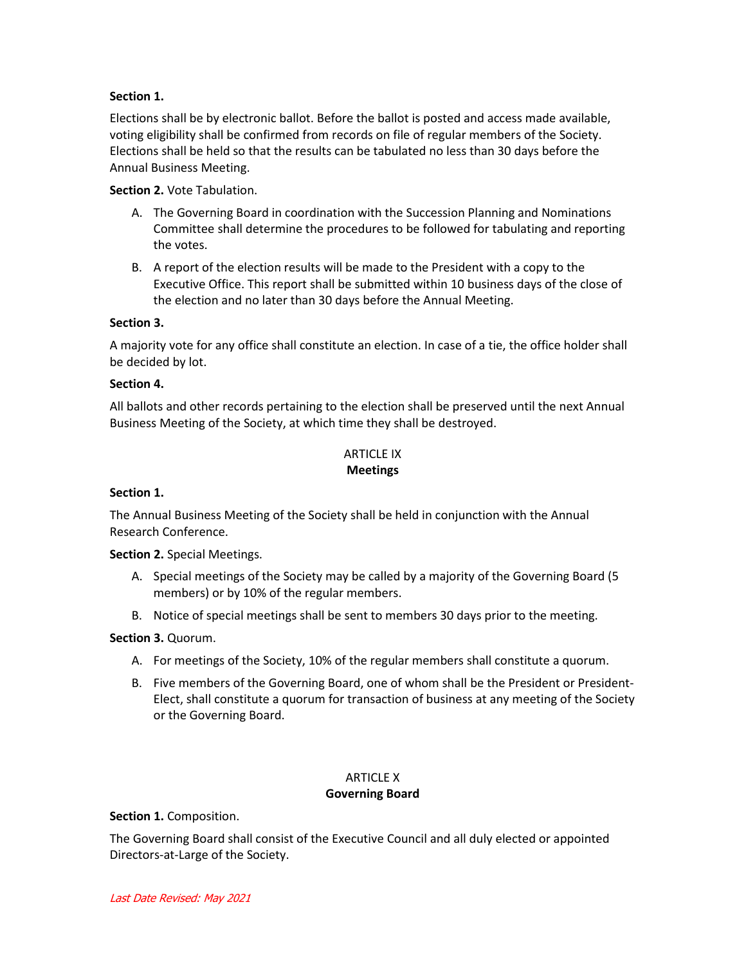## **Section 1.**

Elections shall be by electronic ballot. Before the ballot is posted and access made available, voting eligibility shall be confirmed from records on file of regular members of the Society. Elections shall be held so that the results can be tabulated no less than 30 days before the Annual Business Meeting.

## **Section 2.** Vote Tabulation.

- A. The Governing Board in coordination with the Succession Planning and Nominations Committee shall determine the procedures to be followed for tabulating and reporting the votes.
- B. A report of the election results will be made to the President with a copy to the Executive Office. This report shall be submitted within 10 business days of the close of the election and no later than 30 days before the Annual Meeting.

## **Section 3.**

A majority vote for any office shall constitute an election. In case of a tie, the office holder shall be decided by lot.

#### **Section 4.**

All ballots and other records pertaining to the election shall be preserved until the next Annual Business Meeting of the Society, at which time they shall be destroyed.

### ARTICLE IX **Meetings**

## **Section 1.**

The Annual Business Meeting of the Society shall be held in conjunction with the Annual Research Conference.

**Section 2.** Special Meetings.

- A. Special meetings of the Society may be called by a majority of the Governing Board (5 members) or by 10% of the regular members.
- B. Notice of special meetings shall be sent to members 30 days prior to the meeting.

## **Section 3.** Quorum.

- A. For meetings of the Society, 10% of the regular members shall constitute a quorum.
- B. Five members of the Governing Board, one of whom shall be the President or President-Elect, shall constitute a quorum for transaction of business at any meeting of the Society or the Governing Board.

## ARTICLE X

## **Governing Board**

#### **Section 1.** Composition.

The Governing Board shall consist of the Executive Council and all duly elected or appointed Directors-at-Large of the Society.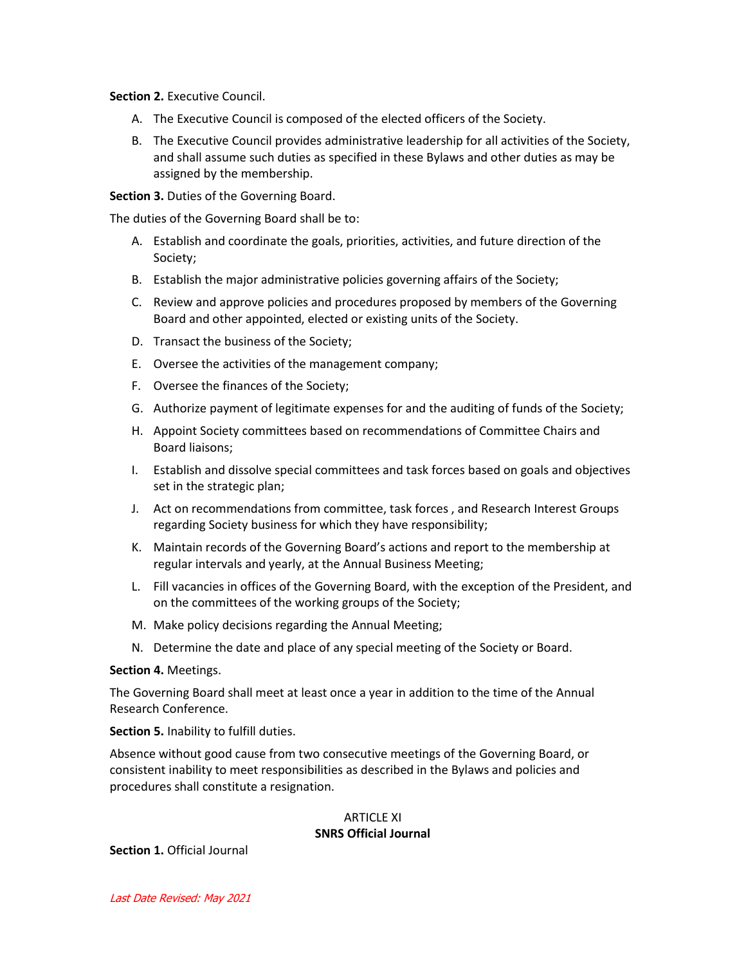**Section 2.** Executive Council.

- A. The Executive Council is composed of the elected officers of the Society.
- B. The Executive Council provides administrative leadership for all activities of the Society, and shall assume such duties as specified in these Bylaws and other duties as may be assigned by the membership.

**Section 3.** Duties of the Governing Board.

The duties of the Governing Board shall be to:

- A. Establish and coordinate the goals, priorities, activities, and future direction of the Society;
- B. Establish the major administrative policies governing affairs of the Society;
- C. Review and approve policies and procedures proposed by members of the Governing Board and other appointed, elected or existing units of the Society.
- D. Transact the business of the Society;
- E. Oversee the activities of the management company;
- F. Oversee the finances of the Society;
- G. Authorize payment of legitimate expenses for and the auditing of funds of the Society;
- H. Appoint Society committees based on recommendations of Committee Chairs and Board liaisons;
- I. Establish and dissolve special committees and task forces based on goals and objectives set in the strategic plan;
- J. Act on recommendations from committee, task forces , and Research Interest Groups regarding Society business for which they have responsibility;
- K. Maintain records of the Governing Board's actions and report to the membership at regular intervals and yearly, at the Annual Business Meeting;
- L. Fill vacancies in offices of the Governing Board, with the exception of the President, and on the committees of the working groups of the Society;
- M. Make policy decisions regarding the Annual Meeting;
- N. Determine the date and place of any special meeting of the Society or Board.

#### **Section 4.** Meetings.

The Governing Board shall meet at least once a year in addition to the time of the Annual Research Conference.

**Section 5.** Inability to fulfill duties.

Absence without good cause from two consecutive meetings of the Governing Board, or consistent inability to meet responsibilities as described in the Bylaws and policies and procedures shall constitute a resignation.

#### ARTICLE XI **SNRS Official Journal**

**Section 1.** Official Journal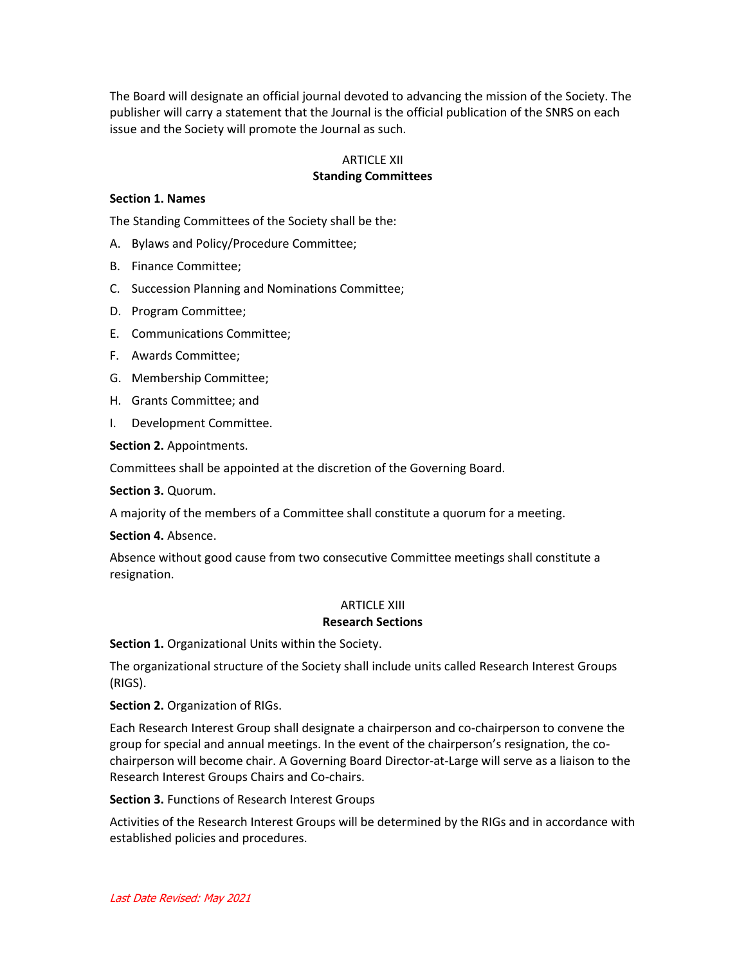The Board will designate an official journal devoted to advancing the mission of the Society. The publisher will carry a statement that the Journal is the official publication of the SNRS on each issue and the Society will promote the Journal as such.

## ARTICLE XII **Standing Committees**

#### **Section 1. Names**

The Standing Committees of the Society shall be the:

- A. Bylaws and Policy/Procedure Committee;
- B. Finance Committee;
- C. Succession Planning and Nominations Committee;
- D. Program Committee;
- E. Communications Committee;
- F. Awards Committee;
- G. Membership Committee;
- H. Grants Committee; and
- I. Development Committee.

**Section 2.** Appointments.

Committees shall be appointed at the discretion of the Governing Board.

**Section 3.** Quorum.

A majority of the members of a Committee shall constitute a quorum for a meeting.

**Section 4.** Absence.

Absence without good cause from two consecutive Committee meetings shall constitute a resignation.

## ARTICLE XIII

#### **Research Sections**

**Section 1.** Organizational Units within the Society.

The organizational structure of the Society shall include units called Research Interest Groups (RIGS).

**Section 2.** Organization of RIGs.

Each Research Interest Group shall designate a chairperson and co-chairperson to convene the group for special and annual meetings. In the event of the chairperson's resignation, the cochairperson will become chair. A Governing Board Director-at-Large will serve as a liaison to the Research Interest Groups Chairs and Co-chairs.

**Section 3.** Functions of Research Interest Groups

Activities of the Research Interest Groups will be determined by the RIGs and in accordance with established policies and procedures.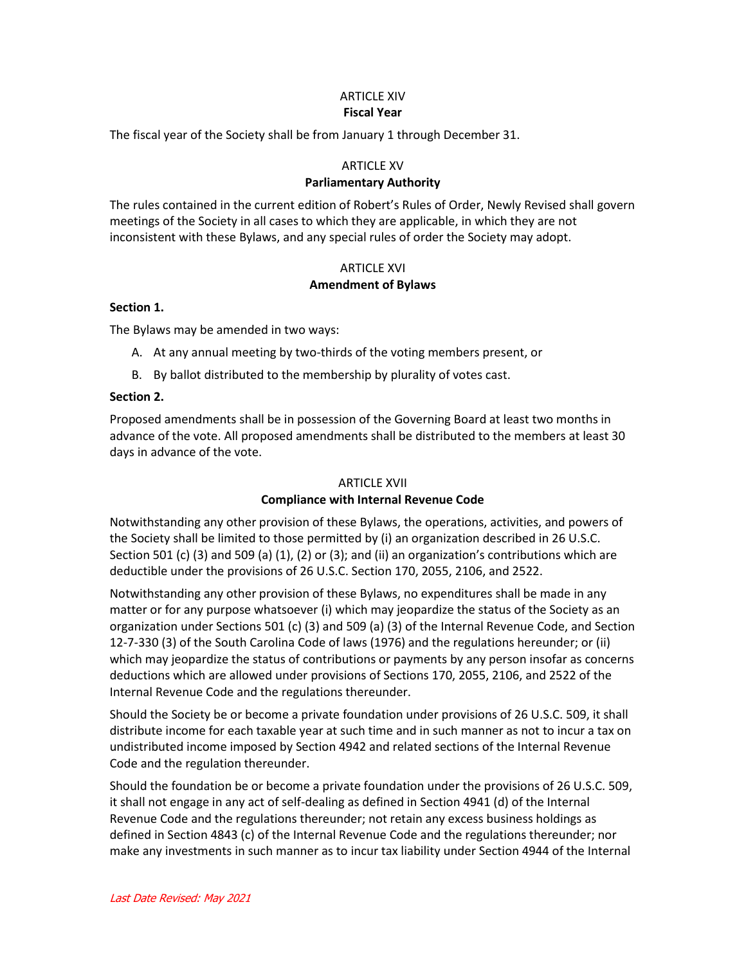#### ARTICLE XIV **Fiscal Year**

The fiscal year of the Society shall be from January 1 through December 31.

### ARTICLE XV

#### **Parliamentary Authority**

The rules contained in the current edition of Robert's Rules of Order, Newly Revised shall govern meetings of the Society in all cases to which they are applicable, in which they are not inconsistent with these Bylaws, and any special rules of order the Society may adopt.

## ARTICLE XVI **Amendment of Bylaws**

#### **Section 1.**

The Bylaws may be amended in two ways:

- A. At any annual meeting by two-thirds of the voting members present, or
- B. By ballot distributed to the membership by plurality of votes cast.

#### **Section 2.**

Proposed amendments shall be in possession of the Governing Board at least two months in advance of the vote. All proposed amendments shall be distributed to the members at least 30 days in advance of the vote.

#### ARTICLE XVII

#### **Compliance with Internal Revenue Code**

Notwithstanding any other provision of these Bylaws, the operations, activities, and powers of the Society shall be limited to those permitted by (i) an organization described in 26 U.S.C. Section 501 (c) (3) and 509 (a) (1), (2) or (3); and (ii) an organization's contributions which are deductible under the provisions of 26 U.S.C. Section 170, 2055, 2106, and 2522.

Notwithstanding any other provision of these Bylaws, no expenditures shall be made in any matter or for any purpose whatsoever (i) which may jeopardize the status of the Society as an organization under Sections 501 (c) (3) and 509 (a) (3) of the Internal Revenue Code, and Section 12-7-330 (3) of the South Carolina Code of laws (1976) and the regulations hereunder; or (ii) which may jeopardize the status of contributions or payments by any person insofar as concerns deductions which are allowed under provisions of Sections 170, 2055, 2106, and 2522 of the Internal Revenue Code and the regulations thereunder.

Should the Society be or become a private foundation under provisions of 26 U.S.C. 509, it shall distribute income for each taxable year at such time and in such manner as not to incur a tax on undistributed income imposed by Section 4942 and related sections of the Internal Revenue Code and the regulation thereunder.

Should the foundation be or become a private foundation under the provisions of 26 U.S.C. 509, it shall not engage in any act of self-dealing as defined in Section 4941 (d) of the Internal Revenue Code and the regulations thereunder; not retain any excess business holdings as defined in Section 4843 (c) of the Internal Revenue Code and the regulations thereunder; nor make any investments in such manner as to incur tax liability under Section 4944 of the Internal